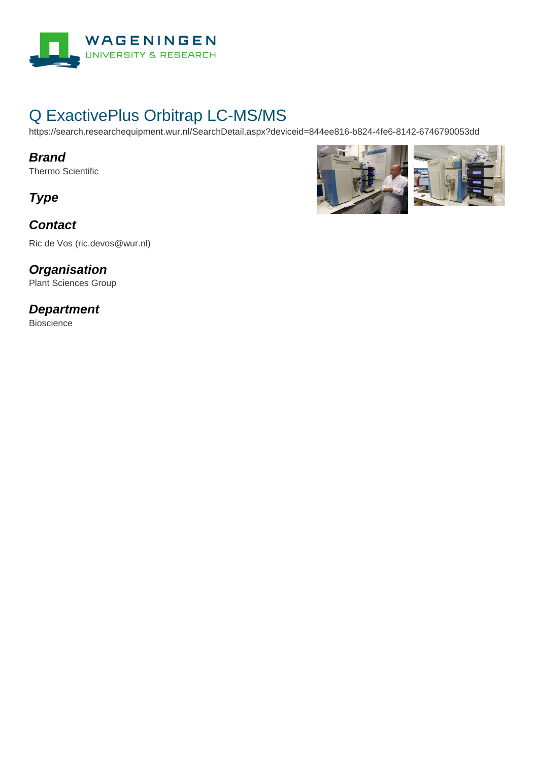

# Q ExactivePlus Orbitrap LC-MS/MS

https://search.researchequipment.wur.nl/SearchDetail.aspx?deviceid=844ee816-b824-4fe6-8142-6746790053dd

#### **Brand**

Thermo Scientific

**Type**

### **Contact**

Ric de Vos (ric.devos@wur.nl)

# **Organisation**

Plant Sciences Group

### **Department**

Bioscience

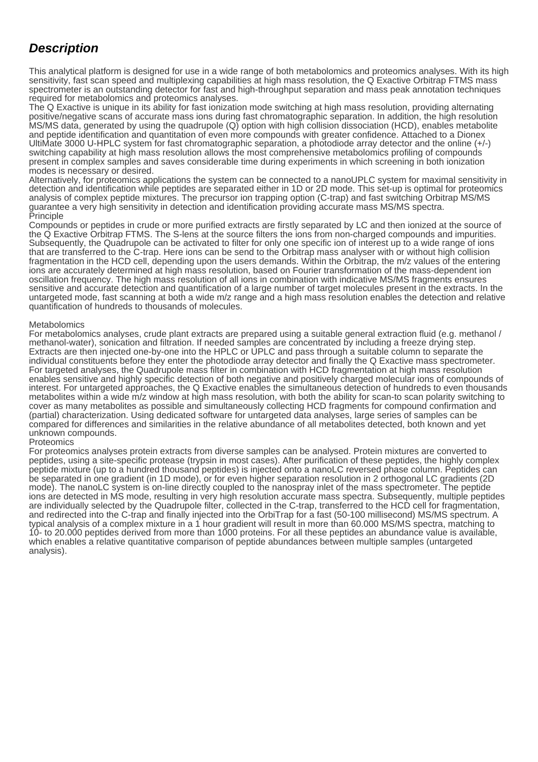## **Description**

This analytical platform is designed for use in a wide range of both metabolomics and proteomics analyses. With its high sensitivity, fast scan speed and multiplexing capabilities at high mass resolution, the Q Exactive Orbitrap FTMS mass spectrometer is an outstanding detector for fast and high-throughput separation and mass peak annotation techniques required for metabolomics and proteomics analyses.

The Q Exactive is unique in its ability for fast ionization mode switching at high mass resolution, providing alternating positive/negative scans of accurate mass ions during fast chromatographic separation. In addition, the high resolution MS/MS data, generated by using the quadrupole (Q) option with high collision dissociation (HCD), enables metabolite and peptide identification and quantitation of even more compounds with greater confidence. Attached to a Dionex UltiMate 3000 U-HPLC system for fast chromatographic separation, a photodiode array detector and the online (+/-) switching capability at high mass resolution allows the most comprehensive metabolomics profiling of compounds present in complex samples and saves considerable time during experiments in which screening in both ionization modes is necessary or desired.

Alternatively, for proteomics applications the system can be connected to a nanoUPLC system for maximal sensitivity in detection and identification while peptides are separated either in 1D or 2D mode. This set-up is optimal for proteomics analysis of complex peptide mixtures. The precursor ion trapping option (C-trap) and fast switching Orbitrap MS/MS guarantee a very high sensitivity in detection and identification providing accurate mass MS/MS spectra. Principle

Compounds or peptides in crude or more purified extracts are firstly separated by LC and then ionized at the source of the Q Exactive Orbitrap FTMS. The S-lens at the source filters the ions from non-charged compounds and impurities. Subsequently, the Quadrupole can be activated to filter for only one specific ion of interest up to a wide range of ions that are transferred to the C-trap. Here ions can be send to the Orbitrap mass analyser with or without high collision fragmentation in the HCD cell, depending upon the users demands. Within the Orbitrap, the m/z values of the entering ions are accurately determined at high mass resolution, based on Fourier transformation of the mass-dependent ion oscillation frequency. The high mass resolution of all ions in combination with indicative MS/MS fragments ensures sensitive and accurate detection and quantification of a large number of target molecules present in the extracts. In the untargeted mode, fast scanning at both a wide m/z range and a high mass resolution enables the detection and relative quantification of hundreds to thousands of molecules.

#### Metabolomics

For metabolomics analyses, crude plant extracts are prepared using a suitable general extraction fluid (e.g. methanol / methanol-water), sonication and filtration. If needed samples are concentrated by including a freeze drying step. Extracts are then injected one-by-one into the HPLC or UPLC and pass through a suitable column to separate the individual constituents before they enter the photodiode array detector and finally the Q Exactive mass spectrometer. For targeted analyses, the Quadrupole mass filter in combination with HCD fragmentation at high mass resolution enables sensitive and highly specific detection of both negative and positively charged molecular ions of compounds of interest. For untargeted approaches, the Q Exactive enables the simultaneous detection of hundreds to even thousands metabolites within a wide m/z window at high mass resolution, with both the ability for scan-to scan polarity switching to cover as many metabolites as possible and simultaneously collecting HCD fragments for compound confirmation and (partial) characterization. Using dedicated software for untargeted data analyses, large series of samples can be compared for differences and similarities in the relative abundance of all metabolites detected, both known and yet unknown compounds.

#### **Proteomics**

For proteomics analyses protein extracts from diverse samples can be analysed. Protein mixtures are converted to peptides, using a site-specific protease (trypsin in most cases). After purification of these peptides, the highly complex peptide mixture (up to a hundred thousand peptides) is injected onto a nanoLC reversed phase column. Peptides can be separated in one gradient (in 1D mode), or for even higher separation resolution in 2 orthogonal LC gradients (2D mode). The nanoLC system is on-line directly coupled to the nanospray inlet of the mass spectrometer. The peptide ions are detected in MS mode, resulting in very high resolution accurate mass spectra. Subsequently, multiple peptides are individually selected by the Quadrupole filter, collected in the C-trap, transferred to the HCD cell for fragmentation, and redirected into the C-trap and finally injected into the OrbiTrap for a fast (50-100 millisecond) MS/MS spectrum. A typical analysis of a complex mixture in a 1 hour gradient will result in more than 60.000 MS/MS spectra, matching to 10- to 20.000 peptides derived from more than 1000 proteins. For all these peptides an abundance value is available, which enables a relative quantitative comparison of peptide abundances between multiple samples (untargeted analysis).